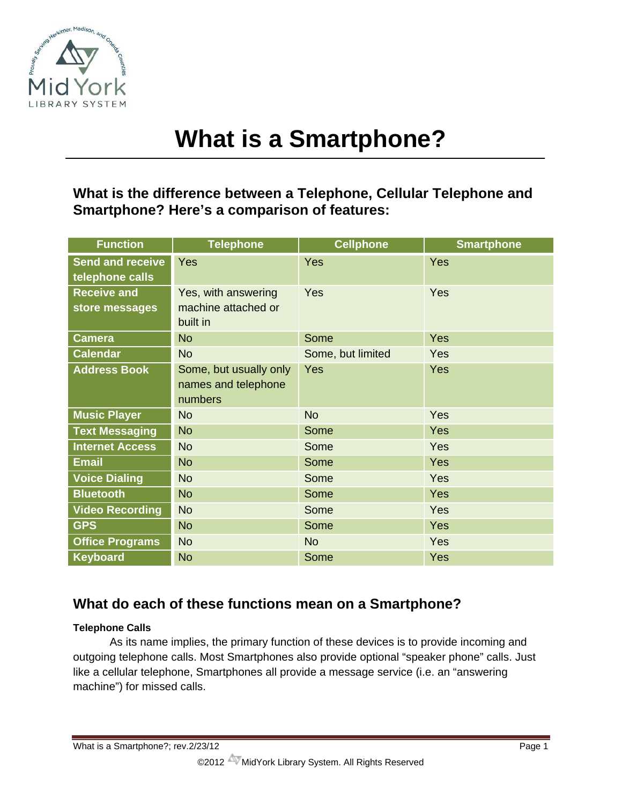

# **What is a Smartphone?**

# **What is the difference between a Telephone, Cellular Telephone and Smartphone? Here's a comparison of features:**

| <b>Function</b>                            | <b>Telephone</b>                                         | <b>Cellphone</b>  | <b>Smartphone</b> |
|--------------------------------------------|----------------------------------------------------------|-------------------|-------------------|
| <b>Send and receive</b><br>telephone calls | Yes                                                      | Yes               | Yes               |
| <b>Receive and</b><br>store messages       | Yes, with answering<br>machine attached or<br>built in   | <b>Yes</b>        | Yes               |
| <b>Camera</b>                              | <b>No</b>                                                | Some              | Yes               |
| <b>Calendar</b>                            | No                                                       | Some, but limited | Yes               |
| <b>Address Book</b>                        | Some, but usually only<br>names and telephone<br>numbers | Yes               | Yes               |
| <b>Music Player</b>                        | <b>No</b>                                                | <b>No</b>         | <b>Yes</b>        |
| <b>Text Messaging</b>                      | <b>No</b>                                                | Some              | Yes               |
| <b>Internet Access</b>                     | <b>No</b>                                                | Some              | Yes               |
| <b>Email</b>                               | <b>No</b>                                                | Some              | Yes               |
| <b>Voice Dialing</b>                       | <b>No</b>                                                | Some              | <b>Yes</b>        |
| <b>Bluetooth</b>                           | <b>No</b>                                                | Some              | <b>Yes</b>        |
| <b>Video Recording</b>                     | <b>No</b>                                                | Some              | <b>Yes</b>        |
| <b>GPS</b>                                 | <b>No</b>                                                | Some              | <b>Yes</b>        |
| <b>Office Programs</b>                     | <b>No</b>                                                | <b>No</b>         | <b>Yes</b>        |
| <b>Keyboard</b>                            | <b>No</b>                                                | Some              | Yes               |

# **What do each of these functions mean on a Smartphone?**

# **Telephone Calls**

As its name implies, the primary function of these devices is to provide incoming and outgoing telephone calls. Most Smartphones also provide optional "speaker phone" calls. Just like a cellular telephone, Smartphones all provide a message service (i.e. an "answering machine") for missed calls.

What is a Smartphone?; rev.2/23/12 Page 1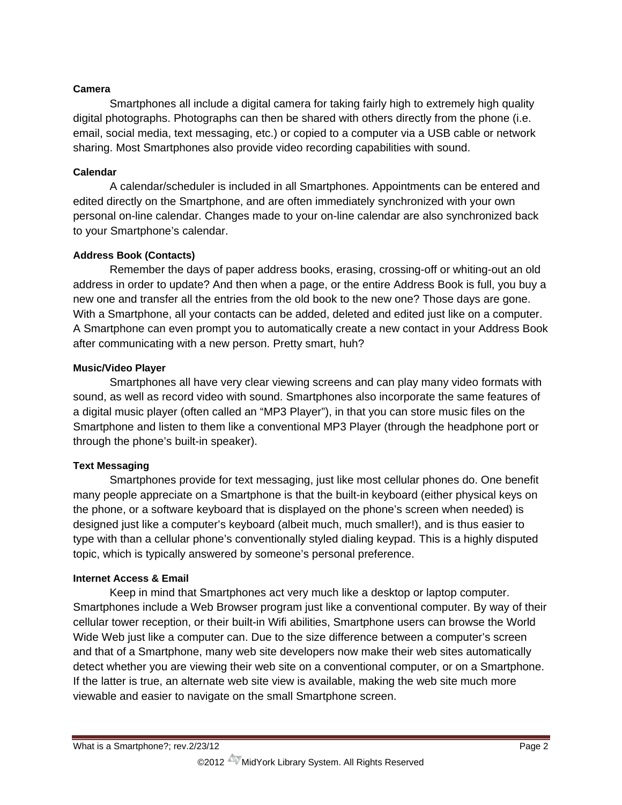## **Camera**

Smartphones all include a digital camera for taking fairly high to extremely high quality digital photographs. Photographs can then be shared with others directly from the phone (i.e. email, social media, text messaging, etc.) or copied to a computer via a USB cable or network sharing. Most Smartphones also provide video recording capabilities with sound.

## **Calendar**

A calendar/scheduler is included in all Smartphones. Appointments can be entered and edited directly on the Smartphone, and are often immediately synchronized with your own personal on-line calendar. Changes made to your on-line calendar are also synchronized back to your Smartphone's calendar.

# **Address Book (Contacts)**

Remember the days of paper address books, erasing, crossing-off or whiting-out an old address in order to update? And then when a page, or the entire Address Book is full, you buy a new one and transfer all the entries from the old book to the new one? Those days are gone. With a Smartphone, all your contacts can be added, deleted and edited just like on a computer. A Smartphone can even prompt you to automatically create a new contact in your Address Book after communicating with a new person. Pretty smart, huh?

#### **Music/Video Player**

Smartphones all have very clear viewing screens and can play many video formats with sound, as well as record video with sound. Smartphones also incorporate the same features of a digital music player (often called an "MP3 Player"), in that you can store music files on the Smartphone and listen to them like a conventional MP3 Player (through the headphone port or through the phone's built-in speaker).

# **Text Messaging**

Smartphones provide for text messaging, just like most cellular phones do. One benefit many people appreciate on a Smartphone is that the built-in keyboard (either physical keys on the phone, or a software keyboard that is displayed on the phone's screen when needed) is designed just like a computer's keyboard (albeit much, much smaller!), and is thus easier to type with than a cellular phone's conventionally styled dialing keypad. This is a highly disputed topic, which is typically answered by someone's personal preference.

#### **Internet Access & Email**

Keep in mind that Smartphones act very much like a desktop or laptop computer. Smartphones include a Web Browser program just like a conventional computer. By way of their cellular tower reception, or their built-in Wifi abilities, Smartphone users can browse the World Wide Web just like a computer can. Due to the size difference between a computer's screen and that of a Smartphone, many web site developers now make their web sites automatically detect whether you are viewing their web site on a conventional computer, or on a Smartphone. If the latter is true, an alternate web site view is available, making the web site much more viewable and easier to navigate on the small Smartphone screen.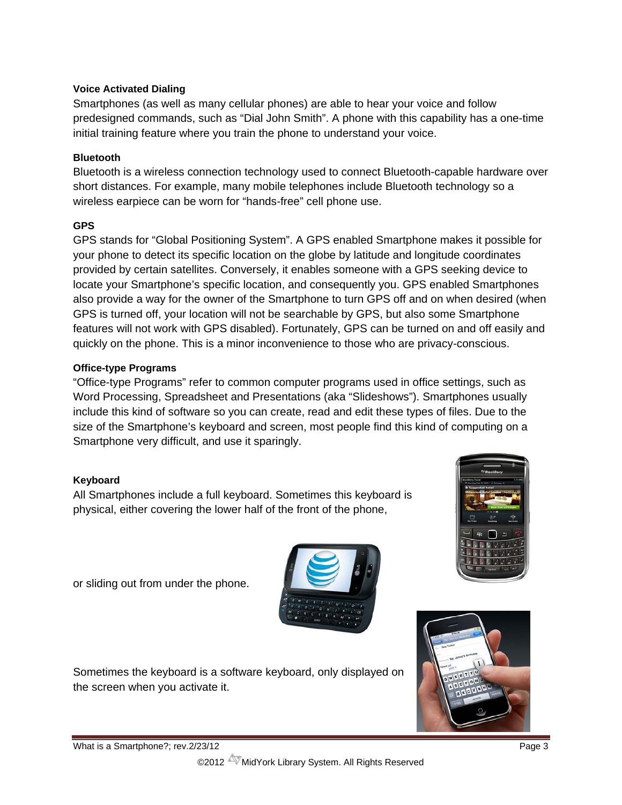# **Voice Activated Dialing**

Smartphones (as well as many cellular phones) are able to hear your voice and follow predesigned commands, such as "Dial John Smith". A phone with this capability has a one-time initial training feature where you train the phone to understand your voice.

# **Bluetooth**

Bluetooth is a wireless connection technology used to connect Bluetooth-capable hardware over short distances. For example, many mobile telephones include Bluetooth technology so a wireless earpiece can be worn for "hands-free" cell phone use.

# **GPS**

GPS stands for "Global Positioning System". A GPS enabled Smartphone makes it possible for your phone to detect its specific location on the globe by latitude and longitude coordinates provided by certain satellites. Conversely, it enables someone with a GPS seeking device to locate your Smartphone's specific location, and consequently you. GPS enabled Smartphones also provide a way for the owner of the Smartphone to turn GPS off and on when desired (when GPS is turned off, your location will not be searchable by GPS, but also some Smartphone features will not work with GPS disabled). Fortunately, GPS can be turned on and off easily and quickly on the phone. This is a minor inconvenience to those who are privacy-conscious.

# **Office-type Programs**

"Office-type Programs" refer to common computer programs used in office settings, such as Word Processing, Spreadsheet and Presentations (aka "Slideshows"). Smartphones usually include this kind of software so you can create, read and edit these types of files. Due to the size of the Smartphone's keyboard and screen, most people find this kind of computing on a Smartphone very difficult, and use it sparingly.

# **Keyboard**

All Smartphones include a full keyboard. Sometimes this keyboard is physical, either covering the lower half of the front of the phone,

or sliding out from under the phone.



Sometimes the keyboard is a software keyboard, only displayed on the screen when you activate it.





©2012 MidYork Library System. All Rights Reserved